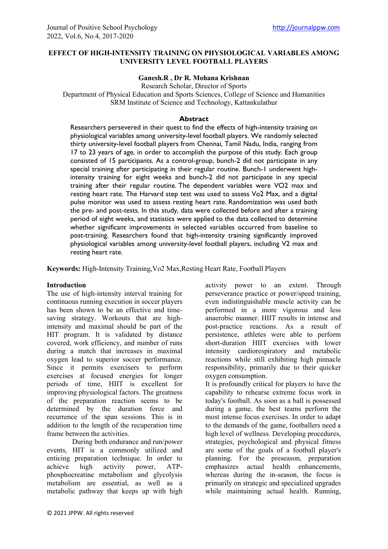# **EFFECT OF HIGH-INTENSITY TRAINING ON PHYSIOLOGICAL VARIABLES AMONG UNIVERSITY LEVEL FOOTBALL PLAYERS**

# **Ganesh.R , Dr R. Mohana Krishnan**

Research Scholar, Director of Sports

Department of Physical Education and Sports Sciences, College of Science and Humanities SRM Institute of Science and Technology, Kattankulathur

# **Abstract**

Researchers persevered in their quest to find the effects of high-intensity training on physiological variables among university-level football players. We randomly selected thirty university-level football players from Chennai, Tamil Nadu, India, ranging from 17 to 23 years of age, in order to accomplish the purpose of this study. Each group consisted of 15 participants. As a control-group, bunch-2 did not participate in any special training after participating in their regular routine. Bunch-1 underwent highintensity training for eight weeks and bunch-2 did not participate in any special training after their regular routine. The dependent variables were VO2 max and resting heart rate. The Harvard step test was used to assess Vo2 Max, and a digital pulse monitor was used to assess resting heart rate. Randomization was used both the pre- and post-tests. In this study, data were collected before and after a training period of eight weeks, and statistics were applied to the data collected to determine whether significant improvements in selected variables occurred from baseline to post-training. Researchers found that high-intensity training significantly improved physiological variables among university-level football players, including V2 max and resting heart rate.

**Keywords:** High-Intensity Training,Vo2 Max,Resting Heart Rate, Football Players

### **Introduction**

The use of high-intensity interval training for continuous running execution in soccer players has been shown to be an effective and timesaving strategy. Workouts that are highintensity and maximal should be part of the HIT program. It is validated by distance covered, work efficiency, and number of runs during a match that increases in maximal oxygen lead to superior soccer performance. Since it permits exercisers to perform exercises at focused energies for longer periods of time, HIIT is excellent for improving physiological factors. The greatness of the preparation reaction seems to be determined by the duration force and recurrence of the span sessions. This is in addition to the length of the recuperation time frame between the activities.

During both endurance and run/power events, HIT is a commonly utilized and enticing preparation technique. In order to achieve high activity power, ATPphosphocreatine metabolism and glycolysis metabolism are essential, as well as a metabolic pathway that keeps up with high

activity power to an extent. Through perseverance practice or power/speed training, even indistinguishable muscle activity can be performed in a more vigorous and less anaerobic manner. HIIT results in intense and post-practice reactions. As a result of persistence, athletes were able to perform short-duration HIIT exercises with lower intensity cardiorespiratory and metabolic reactions while still exhibiting high pinnacle responsibility, primarily due to their quicker oxygen consumption.

It is profoundly critical for players to have the capability to rehearse extreme focus work in today's football. As soon as a ball is possessed during a game, the best teams perform the most intense focus exercises. In order to adapt to the demands of the game, footballers need a high level of wellness. Developing procedures, strategies, psychological and physical fitness are some of the goals of a football player's planning. For the preseason, preparation emphasizes actual health enhancements, whereas during the in-season, the focus is primarily on strategic and specialized upgrades while maintaining actual health. Running,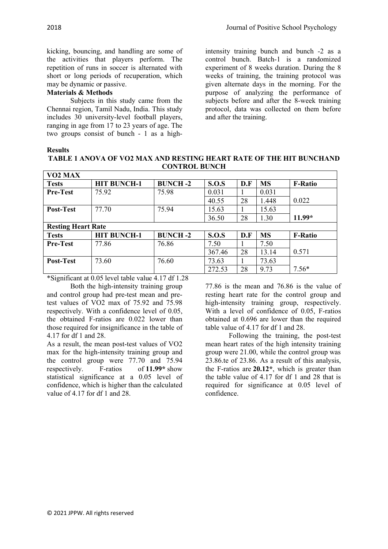kicking, bouncing, and handling are some of the activities that players perform. The repetition of runs in soccer is alternated with short or long periods of recuperation, which may be dynamic or passive.

## **Materials & Methods**

Subjects in this study came from the Chennai region, Tamil Nadu, India. This study includes 30 university-level football players, ranging in age from 17 to 23 years of age. The two groups consist of bunch - 1 as a high-

intensity training bunch and bunch -2 as a control bunch. Batch-1 is a randomized experiment of 8 weeks duration. During the 8 weeks of training, the training protocol was given alternate days in the morning. For the purpose of analyzing the performance of subjects before and after the 8-week training protocol, data was collected on them before and after the training.

#### **Results**

| .                                                                          |
|----------------------------------------------------------------------------|
| <b>TABLE 1 ANOVA OF VO2 MAX AND RESTING HEART RATE OF THE HIT BUNCHAND</b> |
| <b>CONTROL BUNCH</b>                                                       |

| VO <sub>2</sub> MAX       |                    |                 |              |     |           |                |  |
|---------------------------|--------------------|-----------------|--------------|-----|-----------|----------------|--|
| <b>Tests</b>              | <b>HIT BUNCH-1</b> | <b>BUNCH -2</b> | S.O.S        | D.F | <b>MS</b> | <b>F-Ratio</b> |  |
| <b>Pre-Test</b>           | 75.92              | 75.98           | 0.031        |     | 0.031     |                |  |
|                           |                    |                 | 40.55        | 28  | 1.448     | 0.022          |  |
| Post-Test                 | 77.70              | 75.94           | 15.63        |     | 15.63     |                |  |
|                           |                    |                 | 36.50        | 28  | 1.30      | $11.99*$       |  |
| <b>Resting Heart Rate</b> |                    |                 |              |     |           |                |  |
| <b>Tests</b>              | <b>HIT BUNCH-1</b> | <b>BUNCH-2</b>  | <b>S.O.S</b> | D.F | <b>MS</b> | <b>F-Ratio</b> |  |
| <b>Pre-Test</b>           | 77.86              | 76.86           | 7.50         |     | 7.50      |                |  |
|                           |                    |                 | 367.46       | 28  | 13.14     | 0.571          |  |
| Post-Test                 | 73.60              | 76.60           | 73.63        |     | 73.63     |                |  |
|                           |                    |                 | 272.53       | 28  | 9.73      | $7.56*$        |  |

\*Significant at 0.05 level table value 4.17 df 1.28

Both the high-intensity training group and control group had pre-test mean and pretest values of VO2 max of 75.92 and 75.98 respectively. With a confidence level of 0.05, the obtained F-ratios are 0.022 lower than those required for insignificance in the table of 4.17 for df 1 and 28.

As a result, the mean post-test values of VO2 max for the high-intensity training group and the control group were 77.70 and 75.94 respectively. F-ratios of **11.99\*** show statistical significance at a 0.05 level of confidence, which is higher than the calculated value of 4.17 for df 1 and 28.

77.86 is the mean and 76.86 is the value of resting heart rate for the control group and high-intensity training group, respectively. With a level of confidence of 0.05, F-ratios obtained at 0.696 are lower than the required table value of 4.17 for df 1 and 28.

Following the training, the post-test mean heart rates of the high intensity training group were 21.00, while the control group was 23.86.te of 23.86. As a result of this analysis, the F-ratios are **20.12\***, which is greater than the table value of 4.17 for df 1 and 28 that is required for significance at 0.05 level of confidence.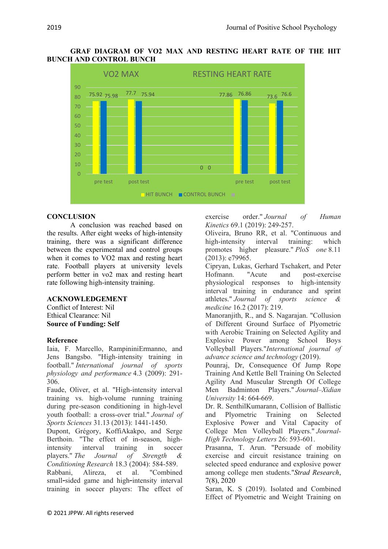## **GRAF DIAGRAM OF VO2 MAX AND RESTING HEART RATE OF THE HIT BUNCH AND CONTROL BUNCH**



# **CONCLUSION**

A conclusion was reached based on the results. After eight weeks of high-intensity training, there was a significant difference between the experimental and control groups when it comes to VO2 max and resting heart rate. Football players at university levels perform better in vo2 max and resting heart rate following high-intensity training.

## **ACKNOWLEDGEMENT**

Conflict of Interest: Nil Ethical Clearance: Nil **Source of Funding: Self** 

### **Reference**

Iaia, F. Marcello, RampininiErmanno, and Jens Bangsbo. "High-intensity training in football." *International journal of sports physiology and performance* 4.3 (2009): 291- 306.

Faude, Oliver, et al. "High-intensity interval training vs. high-volume running training during pre-season conditioning in high-level youth football: a cross-over trial." *Journal of Sports Sciences* 31.13 (2013): 1441-1450.

Dupont, Grégory, KoffiAkakpo, and Serge Berthoin. "The effect of in-season, highintensity interval training in soccer players." *The Journal of Strength & Conditioning Research* 18.3 (2004): 584-589.

Rabbani, Alireza, et al. "Combined small-sided game and high-intensity interval training in soccer players: The effect of exercise order." *Journal of Human Kinetics* 69.1 (2019): 249-257.

Oliveira, Bruno RR, et al. "Continuous and high-intensity interval training: which promotes higher pleasure." *PloS one* 8.11 (2013): e79965.

Cipryan, Lukas, Gerhard Tschakert, and Peter Hofmann. "Acute and post-exercise physiological responses to high-intensity interval training in endurance and sprint athletes." *Journal of sports science & medicine* 16.2 (2017): 219.

Manoranjith, R., and S. Nagarajan. "Collusion of Different Ground Surface of Plyometric with Aerobic Training on Selected Agility and Explosive Power among School Boys Volleyball Players."*International journal of advance science and technology* (2019).

Pounraj, Dr, Consequence Of Jump Rope Training And Kettle Bell Training On Selected Agility And Muscular Strength Of College Men Badminton Players." *Journal–Xidian University* 14: 664-669.

Dr. R. SenthilKumarann, Collision of Ballistic and Plyometric Training on Selected Explosive Power and Vital Capacity of College Men Volleyball Players." *Journal-High Technology Letters* 26: 593-601.

Prasanna, T. Arun. "Persuade of mobility exercise and circuit resistance training on selected speed endurance and explosive power among college men students."*Strad Research*, 7(8), 2020

Saran, K. S (2019). Isolated and Combined Effect of Plyometric and Weight Training on